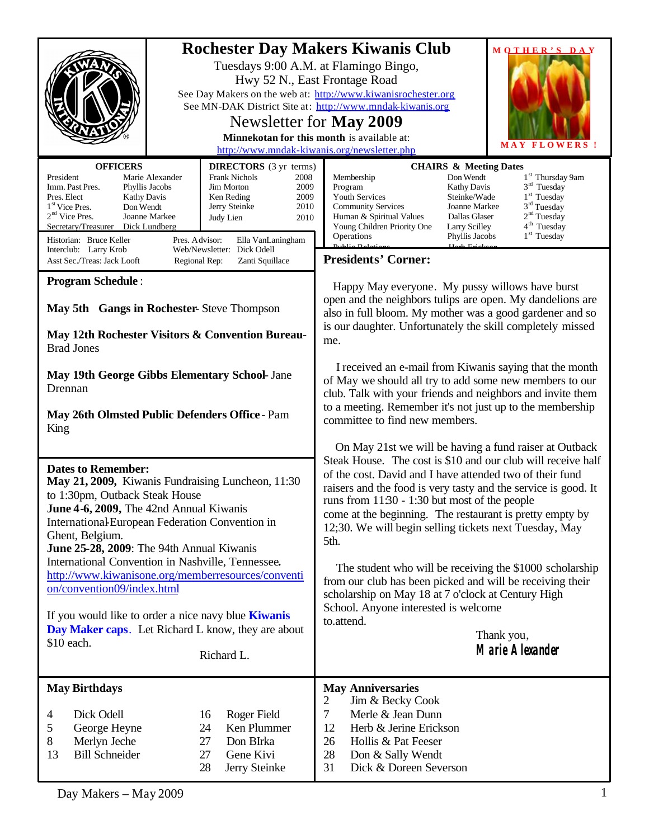|                                                                                                                                                                                                                                                                                                                                                                                                                                                                                                                                                                         | <b>Rochester Day Makers Kiwanis Club</b><br>MOTHER'S DAY<br>Tuesdays 9:00 A.M. at Flamingo Bingo,<br>Hwy 52 N., East Frontage Road<br>See Day Makers on the web at: http://www.kiwanisrochester.org<br>See MN-DAK District Site at: http://www.mndak-kiwanis.org<br>Newsletter for <b>May 2009</b><br>Minnekotan for this month is available at:<br>MAY FLOWERS !<br>http://www.mndak-kiwanis.org/newsletter.php                                                                                                                                                                                                                                       |
|-------------------------------------------------------------------------------------------------------------------------------------------------------------------------------------------------------------------------------------------------------------------------------------------------------------------------------------------------------------------------------------------------------------------------------------------------------------------------------------------------------------------------------------------------------------------------|--------------------------------------------------------------------------------------------------------------------------------------------------------------------------------------------------------------------------------------------------------------------------------------------------------------------------------------------------------------------------------------------------------------------------------------------------------------------------------------------------------------------------------------------------------------------------------------------------------------------------------------------------------|
| <b>OFFICERS</b><br><b>DIRECTORS</b> (3 yr terms)<br>President<br>Marie Alexander<br><b>Frank Nichols</b><br>2008<br>Imm. Past Pres.<br>Jim Morton<br>2009<br>Phyllis Jacobs<br>Pres. Elect<br><b>Kathy Davis</b><br>Ken Reding<br>2009<br>Don Wendt<br>1 <sup>st</sup> Vice Pres.<br>Jerry Steinke<br>2010<br>$2nd$ Vice Pres.<br>Joanne Markee<br>Judy Lien<br>2010<br>Secretary/Treasurer<br>Dick Lundberg<br>Historian: Bruce Keller<br>Pres. Advisor:<br>Ella VanLaningham<br>Interclub: Larry Krob<br>Web/Newsletter: Dick Odell                                   | <b>CHAIRS &amp; Meeting Dates</b><br>1 <sup>st</sup> Thursday 9am<br>Don Wendt<br>Membership<br>$3rd$ Tuesday<br>Program<br>Kathy Davis<br>1 <sup>st</sup> Tuesday<br>Youth Services<br>Steinke/Wade<br>$3rd$ Tuesday<br><b>Community Services</b><br>Joanne Markee<br>2 <sup>nd</sup> Tuesday<br>Dallas Glaser<br>Human & Spiritual Values<br>4 <sup>th</sup> Tuesday<br>Young Children Priority One<br>Larry Scilley<br>$1st$ Tuesday<br>Phyllis Jacobs<br>Operations<br>$D$<br>$\overline{\text{Index}_{\text{Data}}}$                                                                                                                              |
| Asst Sec./Treas: Jack Looft<br>Regional Rep:<br>Zanti Squillace                                                                                                                                                                                                                                                                                                                                                                                                                                                                                                         | <b>Presidents' Corner:</b>                                                                                                                                                                                                                                                                                                                                                                                                                                                                                                                                                                                                                             |
| <b>Program Schedule:</b><br>May 5th Gangs in Rochester-Steve Thompson<br>May 12th Rochester Visitors & Convention Bureau-<br><b>Brad Jones</b>                                                                                                                                                                                                                                                                                                                                                                                                                          | Happy May everyone. My pussy willows have burst<br>open and the neighbors tulips are open. My dandelions are<br>also in full bloom. My mother was a good gardener and so<br>is our daughter. Unfortunately the skill completely missed<br>me.                                                                                                                                                                                                                                                                                                                                                                                                          |
| May 19th George Gibbs Elementary School- Jane<br>Drennan                                                                                                                                                                                                                                                                                                                                                                                                                                                                                                                | I received an e-mail from Kiwanis saying that the month<br>of May we should all try to add some new members to our<br>club. Talk with your friends and neighbors and invite them<br>to a meeting. Remember it's not just up to the membership                                                                                                                                                                                                                                                                                                                                                                                                          |
| May 26th Olmsted Public Defenders Office - Pam<br>King                                                                                                                                                                                                                                                                                                                                                                                                                                                                                                                  | committee to find new members.                                                                                                                                                                                                                                                                                                                                                                                                                                                                                                                                                                                                                         |
|                                                                                                                                                                                                                                                                                                                                                                                                                                                                                                                                                                         | On May 21st we will be having a fund raiser at Outback                                                                                                                                                                                                                                                                                                                                                                                                                                                                                                                                                                                                 |
| <b>Dates to Remember:</b><br>May 21, 2009, Kiwanis Fundraising Luncheon, 11:30<br>to 1:30pm, Outback Steak House<br>June 4-6, 2009, The 42nd Annual Kiwanis<br>International-European Federation Convention in<br>Ghent, Belgium.<br>June 25-28, 2009: The 94th Annual Kiwanis<br>International Convention in Nashville, Tennessee.<br>http://www.kiwanisone.org/memberresources/conventi<br>on/convention09/index.html<br>If you would like to order a nice navy blue <b>Kiwanis</b><br>Day Maker caps. Let Richard L know, they are about<br>\$10 each.<br>Richard L. | Steak House. The cost is \$10 and our club will receive half<br>of the cost. David and I have attended two of their fund<br>raisers and the food is very tasty and the service is good. It<br>runs from $1130 - 130$ but most of the people<br>come at the beginning. The restaurant is pretty empty by<br>12;30. We will begin selling tickets next Tuesday, May<br>5th.<br>The student who will be receiving the \$1000 scholarship<br>from our club has been picked and will be receiving their<br>scholarship on May 18 at 7 o'clock at Century High<br>School. Anyone interested is welcome<br>to.attend.<br>Thank you,<br><b>Marie Alexander</b> |
| <b>May Birthdays</b>                                                                                                                                                                                                                                                                                                                                                                                                                                                                                                                                                    | <b>May Anniversaries</b>                                                                                                                                                                                                                                                                                                                                                                                                                                                                                                                                                                                                                               |
| Dick Odell<br>Roger Field<br>16<br>4<br>Ken Plummer<br>George Heyne<br>24<br>5<br>27<br>Don BIrka<br>8<br>Merlyn Jeche<br><b>Bill Schneider</b><br>13<br>Gene Kivi<br>27<br>28<br>Jerry Steinke                                                                                                                                                                                                                                                                                                                                                                         | 2<br>Jim & Becky Cook<br>$\tau$<br>Merle & Jean Dunn<br>Herb & Jerine Erickson<br>12<br>26<br>Hollis & Pat Feeser<br>28<br>Don & Sally Wendt<br>31<br>Dick & Doreen Severson                                                                                                                                                                                                                                                                                                                                                                                                                                                                           |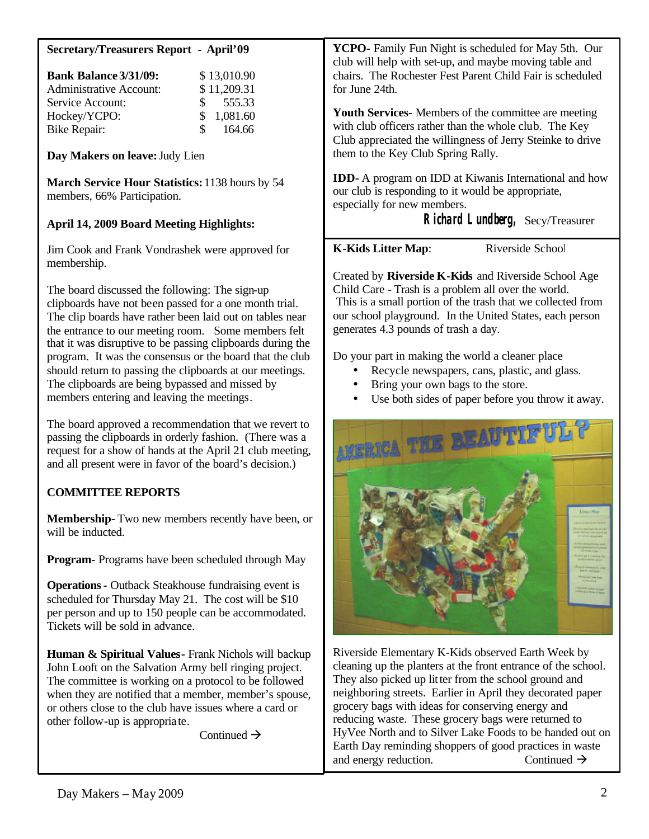| <b>Secretary/Treasurers Report - April'09</b>                                  | YCPO- Family Fun Night is scheduled for May 5th. Our<br>club will help with set-up, and maybe moving table and                                     |
|--------------------------------------------------------------------------------|----------------------------------------------------------------------------------------------------------------------------------------------------|
| <b>Bank Balance 3/31/09:</b><br>\$13,010.90                                    | chairs. The Rochester Fest Parent Child Fair is scheduled                                                                                          |
| <b>Administrative Account:</b><br>\$11,209.31                                  | for June 24th.                                                                                                                                     |
| 555.33<br>Service Account:<br>\$                                               |                                                                                                                                                    |
| \$<br>Hockey/YCPO:<br>1,081.60                                                 | <b>Youth Services-</b> Members of the committee are meeting                                                                                        |
| 164.66<br><b>Bike Repair:</b>                                                  | with club officers rather than the whole club. The Key<br>Club appreciated the willingness of Jerry Steinke to drive                               |
| Day Makers on leave: Judy Lien                                                 | them to the Key Club Spring Rally.                                                                                                                 |
| March Service Hour Statistics: 1138 hours by 54<br>members, 66% Participation. | <b>IDD-</b> A program on IDD at Kiwanis International and how<br>our club is responding to it would be appropriate,<br>especially for new members. |
| <b>April 14, 2009 Board Meeting Highlights:</b>                                | Richard Lundberg, Secy/Treasurer                                                                                                                   |
| Jim Cook and Frank Vondrashek were approved for<br>membership.                 | <b>K-Kids Litter Map:</b><br>Riverside School                                                                                                      |
|                                                                                | Created by Riverside K-Kids and Riverside School Age                                                                                               |
| The board discussed the following: The sign-up                                 | Child Care - Trash is a problem all over the world.                                                                                                |
| clipboards have not been passed for a one month trial.                         | This is a small portion of the trash that we collected from                                                                                        |
| The clip boards have rather been laid out on tables near                       | our school playground. In the United States, each person                                                                                           |
| the entrance to our meeting room. Some members felt                            | generates 4.3 pounds of trash a day.                                                                                                               |
| that it was disruptive to be passing clipboards during the                     |                                                                                                                                                    |
| program. It was the consensus or the board that the club                       | Do your part in making the world a cleaner place                                                                                                   |
| should return to passing the clipboards at our meetings.                       | Recycle newspapers, cans, plastic, and glass.                                                                                                      |
| The clipboards are being bypassed and missed by                                | Bring your own bags to the store.                                                                                                                  |
| members entering and leaving the meetings.                                     | Use both sides of paper before you throw it away.                                                                                                  |
| The board approved a recommendation that we revert to                          |                                                                                                                                                    |
| passing the clipboards in orderly fashion. (There was a                        |                                                                                                                                                    |
| request for a show of hands at the April 21 club meeting,                      |                                                                                                                                                    |
| and all present were in favor of the board's decision.)                        |                                                                                                                                                    |
|                                                                                |                                                                                                                                                    |
| <b>COMMITTEE REPORTS</b>                                                       |                                                                                                                                                    |
| Membership-Two new members recently have been, or                              |                                                                                                                                                    |
| will be inducted.                                                              |                                                                                                                                                    |
|                                                                                |                                                                                                                                                    |
| Program- Programs have been scheduled through May                              |                                                                                                                                                    |
| <b>Operations - Outback Steakhouse fundraising event is</b>                    |                                                                                                                                                    |
| scheduled for Thursday May 21. The cost will be \$10                           |                                                                                                                                                    |
| per person and up to 150 people can be accommodated.                           |                                                                                                                                                    |
| Tickets will be sold in advance.                                               |                                                                                                                                                    |
|                                                                                |                                                                                                                                                    |
|                                                                                |                                                                                                                                                    |

Riverside Elementary K-Kids observed Earth Week by cleaning up the planters at the front entrance of the school. They also picked up litter from the school ground and neighboring streets. Earlier in April they decorated paper grocery bags with ideas for conserving energy and reducing waste. These grocery bags were returned to HyVee North and to Silver Lake Foods to be handed out on Earth Day reminding shoppers of good practices in waste **Human & Spiritual Values-** Frank Nichols will backup John Looft on the Salvation Army bell ringing project. The committee is working on a protocol to be followed when they are notified that a member, member's spouse, or others close to the club have issues where a card or Continued  $\rightarrow$ 

other follow-up is appropriate.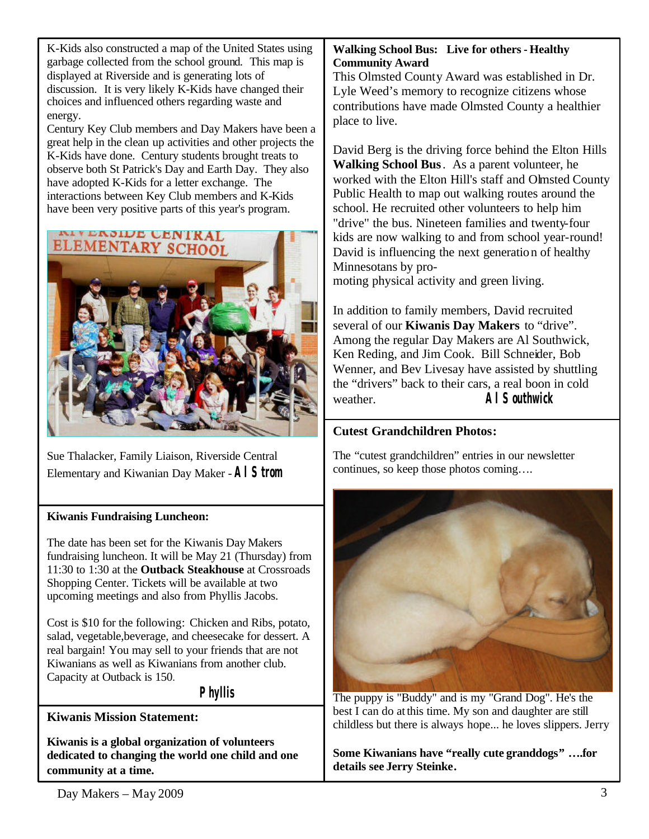K-Kids also constructed a map of the United States using garbage collected from the school ground. This map is displayed at Riverside and is generating lots of discussion. It is very likely K-Kids have changed their choices and influenced others regarding waste and energy.

Century Key Club members and Day Makers have been a great help in the clean up activities and other projects the K-Kids have done. Century students brought treats to observe both St Patrick's Day and Earth Day. They also have adopted K-Kids for a letter exchange. The interactions between Key Club members and K-Kids have been very positive parts of this year's program.



Sue Thalacker, Family Liaison, Riverside Central Elementary and Kiwanian Day Maker -*Al Strom*

#### **Kiwanis Fundraising Luncheon:**

The date has been set for the Kiwanis Day Makers fundraising luncheon. It will be May 21 (Thursday) from 11:30 to 1:30 at the **Outback Steakhouse** at Crossroads Shopping Center. Tickets will be available at two upcoming meetings and also from Phyllis Jacobs.

Cost is \$10 for the following: Chicken and Ribs, potato, salad, vegetable,beverage, and cheesecake for dessert. A real bargain! You may sell to your friends that are not Kiwanians as well as Kiwanians from another club. Capacity at Outback is 150.

## *Phyllis*

**Kiwanis Mission Statement:**

**Kiwanis is a global organization of volunteers dedicated to changing the world one child and one community at a time.**

## **Walking School Bus: Live for others - Healthy Community Award**

This Olmsted County Award was established in Dr. Lyle Weed's memory to recognize citizens whose contributions have made Olmsted County a healthier place to live.

David Berg is the driving force behind the Elton Hills **Walking School Bus**. As a parent volunteer, he worked with the Elton Hill's staff and Olmsted County Public Health to map out walking routes around the school. He recruited other volunteers to help him "drive" the bus. Nineteen families and twenty-four kids are now walking to and from school year-round! David is influencing the next generation of healthy Minnesotans by pro-

moting physical activity and green living.

In addition to family members, David recruited several of our **Kiwanis Day Makers** to "drive". Among the regular Day Makers are Al Southwick, Ken Reding, and Jim Cook. Bill Schneider, Bob Wenner, and Bev Livesay have assisted by shuttling the "drivers" back to their cars, a real boon in cold weather. *Al Southwick*

# **Cutest Grandchildren Photos:**

The "cutest grandchildren" entries in our newsletter continues, so keep those photos coming….



The puppy is "Buddy" and is my "Grand Dog". He's the best I can do atthis time. My son and daughter are still childless but there is always hope... he loves slippers. Jerry

**Some Kiwanians have "really cute granddogs" ….for details see Jerry Steinke.**